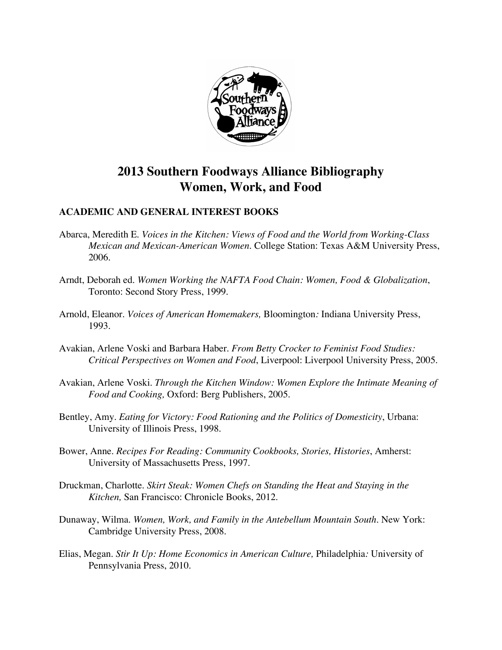

# **2013 Southern Foodways Alliance Bibliography Women, Work, and Food**

## **ACADEMIC AND GENERAL INTEREST BOOKS**

- Abarca, Meredith E. *Voices in the Kitchen: Views of Food and the World from Working-Class Mexican and Mexican-American Women*. College Station: Texas A&M University Press, 2006.
- Arndt, Deborah ed. *Women Working the NAFTA Food Chain: Women, Food & Globalization*, Toronto: Second Story Press, 1999.
- Arnold, Eleanor. *Voices of American Homemakers,* Bloomington*:* Indiana University Press, 1993.
- Avakian, Arlene Voski and Barbara Haber. *From Betty Crocker to Feminist Food Studies: Critical Perspectives on Women and Food*, Liverpool: Liverpool University Press, 2005.
- Avakian, Arlene Voski. *Through the Kitchen Window: Women Explore the Intimate Meaning of Food and Cooking,* Oxford: Berg Publishers, 2005.
- Bentley, Amy. *Eating for Victory: Food Rationing and the Politics of Domesticity*, Urbana: University of Illinois Press, 1998.
- Bower, Anne. *Recipes For Reading: Community Cookbooks, Stories, Histories*, Amherst: University of Massachusetts Press, 1997.
- Druckman, Charlotte. *Skirt Steak: Women Chefs on Standing the Heat and Staying in the Kitchen,* San Francisco: Chronicle Books, 2012.
- Dunaway, Wilma. *Women, Work, and Family in the Antebellum Mountain South*. New York: Cambridge University Press, 2008.
- Elias, Megan. *Stir It Up: Home Economics in American Culture,* Philadelphia*:* University of Pennsylvania Press, 2010.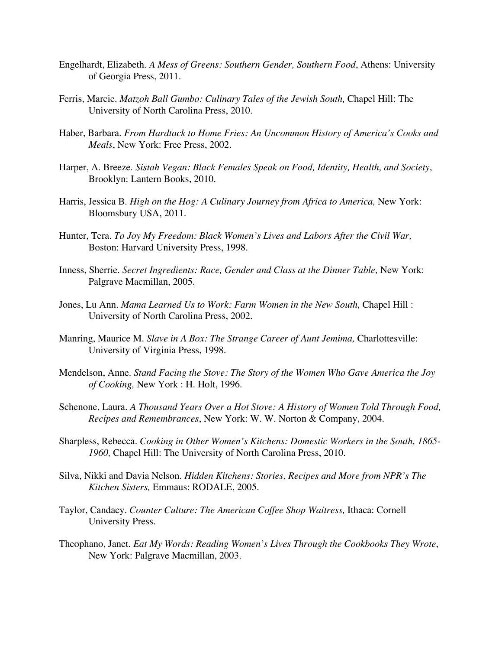- Engelhardt, Elizabeth. *A Mess of Greens: Southern Gender, Southern Food*, Athens: University of Georgia Press, 2011.
- Ferris, Marcie. *Matzoh Ball Gumbo: Culinary Tales of the Jewish South*, Chapel Hill: The University of North Carolina Press, 2010.
- Haber, Barbara. *From Hardtack to Home Fries: An Uncommon History of America's Cooks and Meals*, New York: Free Press, 2002.
- Harper, A. Breeze. *Sistah Vegan: Black Females Speak on Food, Identity, Health, and Society*, Brooklyn: Lantern Books, 2010.
- Harris, Jessica B. *High on the Hog: A Culinary Journey from Africa to America*, New York: Bloomsbury USA, 2011.
- Hunter, Tera. *To Joy My Freedom: Black Women's Lives and Labors After the Civil War,*  Boston: Harvard University Press, 1998.
- Inness, Sherrie. *Secret Ingredients: Race, Gender and Class at the Dinner Table*, New York: Palgrave Macmillan, 2005.
- Jones, Lu Ann. *Mama Learned Us to Work: Farm Women in the New South,* Chapel Hill : University of North Carolina Press, 2002.
- Manring, Maurice M. *Slave in A Box: The Strange Career of Aunt Jemima*, Charlottesville: University of Virginia Press, 1998.
- Mendelson, Anne. *Stand Facing the Stove: The Story of the Women Who Gave America the Joy of Cooking,* New York : H. Holt, 1996.
- Schenone, Laura. *A Thousand Years Over a Hot Stove: A History of Women Told Through Food, Recipes and Remembrances*, New York: W. W. Norton & Company, 2004.
- Sharpless, Rebecca. *Cooking in Other Women's Kitchens: Domestic Workers in the South, 1865- 1960,* Chapel Hill: The University of North Carolina Press, 2010.
- Silva, Nikki and Davia Nelson. *Hidden Kitchens: Stories, Recipes and More from NPR's The Kitchen Sisters,* Emmaus: RODALE, 2005.
- Taylor, Candacy. *Counter Culture: The American Coffee Shop Waitress,* Ithaca: Cornell University Press.
- Theophano, Janet. *Eat My Words: Reading Women's Lives Through the Cookbooks They Wrote*, New York: Palgrave Macmillan, 2003.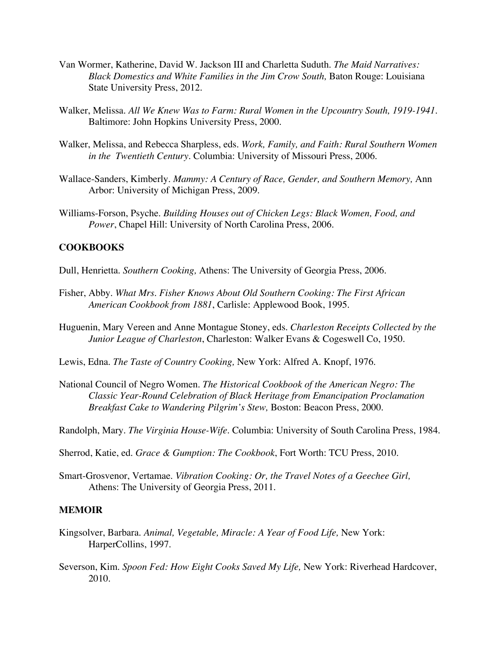- Van Wormer, Katherine, David W. Jackson III and Charletta Suduth. *The Maid Narratives: Black Domestics and White Families in the Jim Crow South,* Baton Rouge: Louisiana State University Press, 2012.
- Walker, Melissa. *All We Knew Was to Farm: Rural Women in the Upcountry South, 1919-1941*. Baltimore: John Hopkins University Press, 2000.
- Walker, Melissa, and Rebecca Sharpless, eds. *Work, Family, and Faith: Rural Southern Women in the Twentieth Century.* Columbia: University of Missouri Press, 2006.
- Wallace-Sanders, Kimberly. *Mammy: A Century of Race, Gender, and Southern Memory,* Ann Arbor: University of Michigan Press, 2009.
- Williams-Forson, Psyche. *Building Houses out of Chicken Legs: Black Women, Food, and Power*, Chapel Hill: University of North Carolina Press, 2006.

#### **COOKBOOKS**

Dull, Henrietta. *Southern Cooking,* Athens: The University of Georgia Press, 2006.

- Fisher, Abby. *What Mrs. Fisher Knows About Old Southern Cooking: The First African American Cookbook from 1881*, Carlisle: Applewood Book, 1995.
- Huguenin, Mary Vereen and Anne Montague Stoney, eds. *Charleston Receipts Collected by the Junior League of Charleston*, Charleston: Walker Evans & Cogeswell Co, 1950.
- Lewis, Edna. *The Taste of Country Cooking,* New York: Alfred A. Knopf, 1976.
- National Council of Negro Women. *The Historical Cookbook of the American Negro: The Classic Year-Round Celebration of Black Heritage from Emancipation Proclamation Breakfast Cake to Wandering Pilgrim's Stew,* Boston: Beacon Press, 2000.

Randolph, Mary. *The Virginia House-Wife.* Columbia: University of South Carolina Press, 1984.

- Sherrod, Katie, ed. *Grace & Gumption: The Cookbook*, Fort Worth: TCU Press, 2010.
- Smart-Grosvenor, Vertamae. *Vibration Cooking: Or, the Travel Notes of a Geechee Girl,*  Athens: The University of Georgia Press, 2011.

### **MEMOIR**

- Kingsolver, Barbara. *Animal, Vegetable, Miracle: A Year of Food Life,* New York: HarperCollins, 1997.
- Severson, Kim. *Spoon Fed: How Eight Cooks Saved My Life,* New York: Riverhead Hardcover, 2010*.*